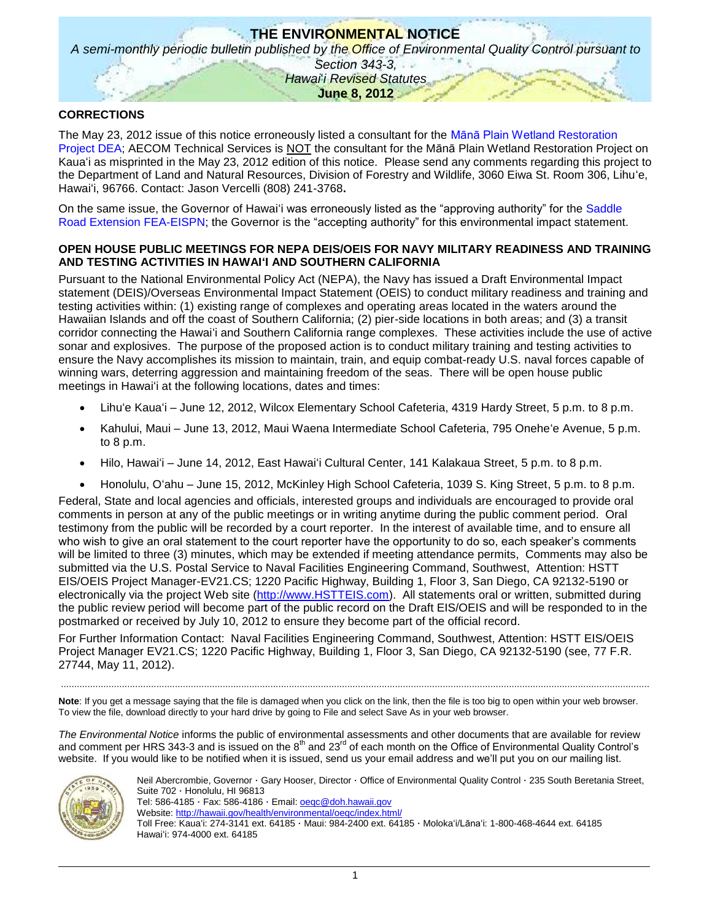# **THE ENVIRONMENTAL NOTICE** *A semi-monthly periodic bulletin published by the Office of Environmental Quality Control pursuant to Section 343-3, Hawai*'*i Revised Statutes* **June 8, 2012**

## **CORRECTIONS**

The May 23, 2012 issue of this notice erroneously listed a consultant for the [Mānā Plain Wetland Restoration](http://oeqc.doh.hawaii.gov/Shared%20Documents/EA_and_EIS_Online_Library/Kauai/2010s/2012-05-23-DEA-Mana-Plain-Wetland-Restoration.pdf)  [Project DEA;](http://oeqc.doh.hawaii.gov/Shared%20Documents/EA_and_EIS_Online_Library/Kauai/2010s/2012-05-23-DEA-Mana-Plain-Wetland-Restoration.pdf) AECOM Technical Services is NOT the consultant for the Mānā Plain Wetland Restoration Project on Kauaʻi as misprinted in the May 23, 2012 edition of this notice. Please send any comments regarding this project to the Department of Land and Natural Resources, Division of Forestry and Wildlife, 3060 Eiwa St. Room 306, Lihuʻe, Hawaiʻi, 96766. Contact: Jason Vercelli (808) 241-3768**.** 

On the same issue, the Governor of Hawaiʻi was erroneously listed as the "approving authority" for the [Saddle](http://oeqc.doh.hawaii.gov/Shared%20Documents/EA_and_EIS_Online_Library/Hawaii/2010s/2012-05-23-FEA-EISPN-Saddle-Road-Extension.pdf)  [Road Extension FEA-EISPN;](http://oeqc.doh.hawaii.gov/Shared%20Documents/EA_and_EIS_Online_Library/Hawaii/2010s/2012-05-23-FEA-EISPN-Saddle-Road-Extension.pdf) the Governor is the "accepting authority" for this environmental impact statement.

### **OPEN HOUSE PUBLIC MEETINGS FOR NEPA DEIS/OEIS FOR NAVY MILITARY READINESS AND TRAINING AND TESTING ACTIVITIES IN HAWAIʻI AND SOUTHERN CALIFORNIA**

Pursuant to the National Environmental Policy Act (NEPA), the Navy has issued a Draft Environmental Impact statement (DEIS)/Overseas Environmental Impact Statement (OEIS) to conduct military readiness and training and testing activities within: (1) existing range of complexes and operating areas located in the waters around the Hawaiian Islands and off the coast of Southern California; (2) pier-side locations in both areas; and (3) a transit corridor connecting the Hawaiʻi and Southern California range complexes. These activities include the use of active sonar and explosives. The purpose of the proposed action is to conduct military training and testing activities to ensure the Navy accomplishes its mission to maintain, train, and equip combat-ready U.S. naval forces capable of winning wars, deterring aggression and maintaining freedom of the seas. There will be open house public meetings in Hawaiʻi at the following locations, dates and times:

- Lihuʻe Kauaʻi June 12, 2012, Wilcox Elementary School Cafeteria, 4319 Hardy Street, 5 p.m. to 8 p.m.
- Kahului, Maui June 13, 2012, Maui Waena Intermediate School Cafeteria, 795 Oneheʻe Avenue, 5 p.m. to 8 p.m.
- Hilo, Hawaiʻi June 14, 2012, East Hawaiʻi Cultural Center, 141 Kalakaua Street, 5 p.m. to 8 p.m.
- Honolulu, Oʻahu June 15, 2012, McKinley High School Cafeteria, 1039 S. King Street, 5 p.m. to 8 p.m.

Federal, State and local agencies and officials, interested groups and individuals are encouraged to provide oral comments in person at any of the public meetings or in writing anytime during the public comment period. Oral testimony from the public will be recorded by a court reporter. In the interest of available time, and to ensure all who wish to give an oral statement to the court reporter have the opportunity to do so, each speaker's comments will be limited to three (3) minutes, which may be extended if meeting attendance permits, Comments may also be submitted via the U.S. Postal Service to Naval Facilities Engineering Command, Southwest, Attention: HSTT EIS/OEIS Project Manager-EV21.CS; 1220 Pacific Highway, Building 1, Floor 3, San Diego, CA 92132-5190 or electronically via the project Web site [\(http://www.HSTTEIS.com\)](http://www.hstteis.com/). All statements oral or written, submitted during the public review period will become part of the public record on the Draft EIS/OEIS and will be responded to in the postmarked or received by July 10, 2012 to ensure they become part of the official record.

For Further Information Contact: Naval Facilities Engineering Command, Southwest, Attention: HSTT EIS/OEIS Project Manager EV21.CS; 1220 Pacific Highway, Building 1, Floor 3, San Diego, CA 92132-5190 (see, 77 F.R. 27744, May 11, 2012).

Note: If you get a message saying that the file is damaged when you click on the link, then the file is too big to open within your web browser. To view the file, download directly to your hard drive by going to File and select Save As in your web browser.

..............................................................................................................................................................................................................................

*The Environmental Notice* informs the public of environmental assessments and other documents that are available for review and comment per HRS 343-3 and is issued on the  $8<sup>th</sup>$  and 23<sup>rd</sup> of each month on the Office of Environmental Quality Control's website. If you would like to be notified when it is issued, send us your email address and we'll put you on our mailing list.



Neil Abercrombie, Governor · Gary Hooser, Director · Office of Environmental Quality Control · 235 South Beretania Street, Suite 702 · Honolulu, HI 96813 Tel: 586-4185 · Fax: 586-4186 · Email: [oeqc@doh.hawaii.gov](mailto:oeqc@doh.hawaii.gov)

Website:<http://hawaii.gov/health/environmental/oeqc/index.html/>

Toll Free: Kauaʻi: 274-3141 ext. 64185 · Maui: 984-2400 ext. 64185 · Molokaʻi/Lānaʻi: 1-800-468-4644 ext. 64185 Hawaiʻi: 974-4000 ext. 64185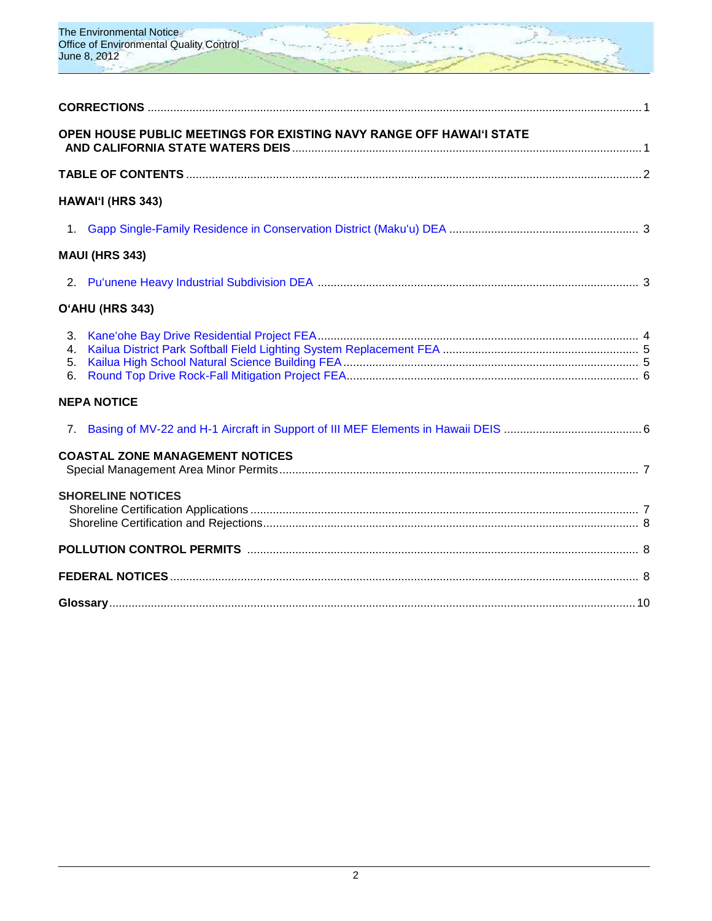

|                            | OPEN HOUSE PUBLIC MEETINGS FOR EXISTING NAVY RANGE OFF HAWAI'I STATE |  |
|----------------------------|----------------------------------------------------------------------|--|
|                            |                                                                      |  |
|                            | HAWAI'I (HRS 343)                                                    |  |
|                            |                                                                      |  |
|                            | <b>MAUI (HRS 343)</b>                                                |  |
|                            |                                                                      |  |
|                            | O'AHU (HRS 343)                                                      |  |
| 4.<br>5 <sub>1</sub><br>6. |                                                                      |  |
|                            | <b>NEPA NOTICE</b>                                                   |  |
| 7.                         |                                                                      |  |
|                            | <b>COASTAL ZONE MANAGEMENT NOTICES</b>                               |  |
|                            | <b>SHORELINE NOTICES</b>                                             |  |
|                            |                                                                      |  |
|                            |                                                                      |  |
|                            |                                                                      |  |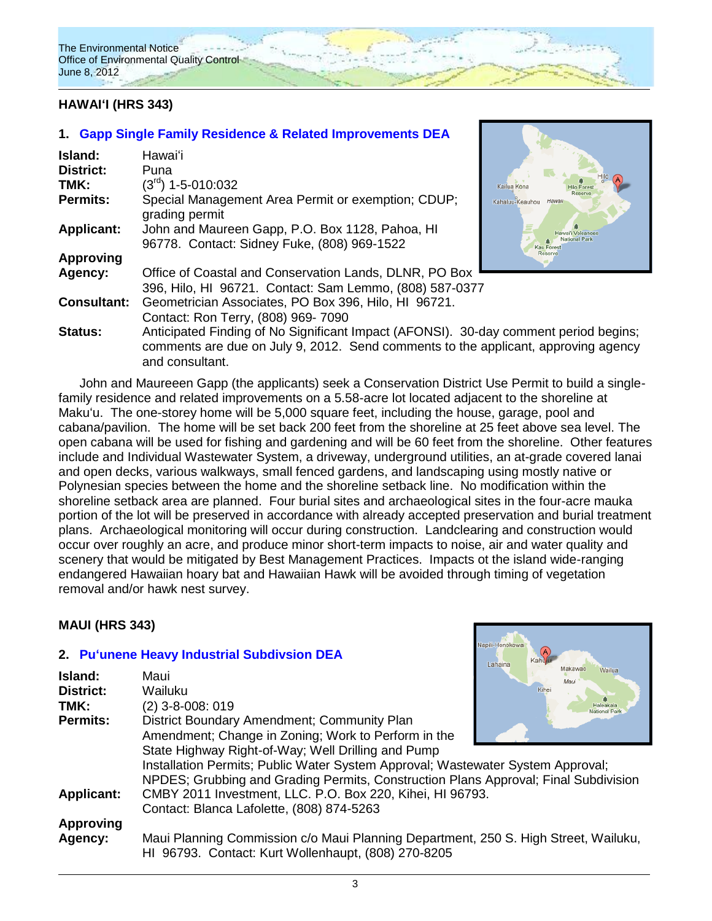

# **HAWAIʻI (HRS 343)**

# **1. [Gapp Single Family Residence & Related Improvements](http://oeqc.doh.hawaii.gov/Shared%20Documents/EA_and_EIS_Online_Library/Hawaii/2010s/2012-06-08-DEA-Gapp-Family-Residence-in-Conservation-District.pdf) DEA**

| Island:            | Hawaiʻi                                                                                                                                                                    |                                                       |
|--------------------|----------------------------------------------------------------------------------------------------------------------------------------------------------------------------|-------------------------------------------------------|
| <b>District:</b>   | Puna                                                                                                                                                                       |                                                       |
| TMK:               | (3 <sup>rd</sup> ) 1-5-010:032                                                                                                                                             | Kailua Kona<br><b>Hilo Fores</b>                      |
| Permits:           | Special Management Area Permit or exemption; CDUP;<br>grading permit                                                                                                       | Hawaii<br>Kahaluu-Keauhou                             |
| <b>Applicant:</b>  | John and Maureen Gapp, P.O. Box 1128, Pahoa, HI<br>96778. Contact: Sidney Fuke, (808) 969-1522                                                                             | wai'i Volcanoe:<br>National Park<br><b>Kau Forest</b> |
| <b>Approving</b>   |                                                                                                                                                                            | Reserve                                               |
| Agency:            | Office of Coastal and Conservation Lands, DLNR, PO Box                                                                                                                     |                                                       |
|                    | 396, Hilo, HI 96721. Contact: Sam Lemmo, (808) 587-0377                                                                                                                    |                                                       |
| <b>Consultant:</b> | Geometrician Associates, PO Box 396, Hilo, HI 96721.                                                                                                                       |                                                       |
|                    | Contact: Ron Terry, (808) 969-7090                                                                                                                                         |                                                       |
| <b>Status:</b>     | Anticipated Finding of No Significant Impact (AFONSI). 30-day comment period begins;<br>comments are due on July 9, 2012. Send comments to the applicant, approving agency |                                                       |



John and Maureeen Gapp (the applicants) seek a Conservation District Use Permit to build a singlefamily residence and related improvements on a 5.58-acre lot located adjacent to the shoreline at Makuʻu. The one-storey home will be 5,000 square feet, including the house, garage, pool and cabana/pavilion. The home will be set back 200 feet from the shoreline at 25 feet above sea level. The open cabana will be used for fishing and gardening and will be 60 feet from the shoreline. Other features include and Individual Wastewater System, a driveway, underground utilities, an at-grade covered lanai and open decks, various walkways, small fenced gardens, and landscaping using mostly native or Polynesian species between the home and the shoreline setback line. No modification within the shoreline setback area are planned. Four burial sites and archaeological sites in the four-acre mauka portion of the lot will be preserved in accordance with already accepted preservation and burial treatment plans. Archaeological monitoring will occur during construction. Landclearing and construction would occur over roughly an acre, and produce minor short-term impacts to noise, air and water quality and scenery that would be mitigated by Best Management Practices. Impacts ot the island wide-ranging endangered Hawaiian hoary bat and Hawaiian Hawk will be avoided through timing of vegetation removal and/or hawk nest survey.

## **MAUI (HRS 343)**

## **2. [Puʻunene Heavy Industrial Subdivsion](http://oeqc.doh.hawaii.gov/Shared%20Documents/EA_and_EIS_Online_Library/Maui/2010s/2012-06-08-DEA-Pu%60unene-Heavy-Industrial-Subdivision.pdf) DEA**

and consultant.

| Island:           | Maui                                                                                                                                       | manawau<br>Wailua<br>Maui |
|-------------------|--------------------------------------------------------------------------------------------------------------------------------------------|---------------------------|
| <b>District:</b>  | Wailuku                                                                                                                                    | Kihei                     |
| TMK:              | (2) 3-8-008: 019                                                                                                                           |                           |
| <b>Permits:</b>   | District Boundary Amendment; Community Plan                                                                                                |                           |
|                   | Amendment; Change in Zoning; Work to Perform in the                                                                                        |                           |
|                   | State Highway Right-of-Way; Well Drilling and Pump                                                                                         |                           |
|                   | Installation Permits; Public Water System Approval; Wastewater System Approval;                                                            |                           |
|                   | NPDES; Grubbing and Grading Permits, Construction Plans Approval; Final Subdivision                                                        |                           |
| <b>Applicant:</b> | CMBY 2011 Investment, LLC. P.O. Box 220, Kihei, HI 96793.                                                                                  |                           |
|                   | Contact: Blanca Lafolette, (808) 874-5263                                                                                                  |                           |
| <b>Approving</b>  |                                                                                                                                            |                           |
| Agency:           | Maui Planning Commission c/o Maui Planning Department, 250 S. High Street, Wailuku,<br>HI 96793. Contact: Kurt Wollenhaupt, (808) 270-8205 |                           |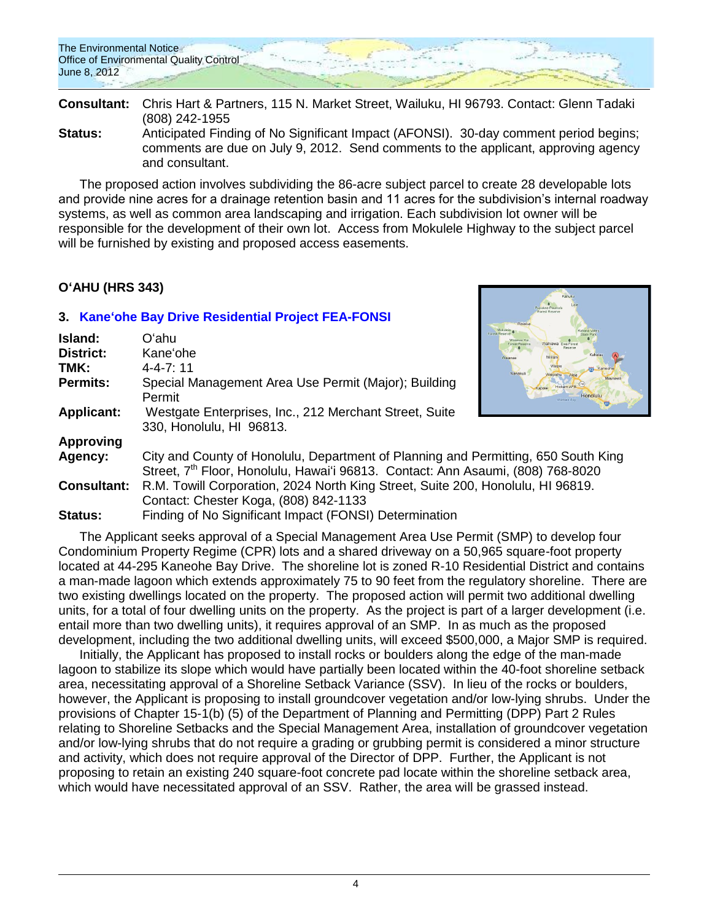**Consultant:** Chris Hart & Partners, 115 N. Market Street, Wailuku, HI 96793. Contact: Glenn Tadaki (808) 242-1955

**Status:** Anticipated Finding of No Significant Impact (AFONSI). 30-day comment period begins; comments are due on July 9, 2012. Send comments to the applicant, approving agency and consultant.

The proposed action involves subdividing the 86-acre subject parcel to create 28 developable lots and provide nine acres for a drainage retention basin and 11 acres for the subdivision's internal roadway systems, as well as common area landscaping and irrigation. Each subdivision lot owner will be responsible for the development of their own lot. Access from Mokulele Highway to the subject parcel will be furnished by existing and proposed access easements.

# **OʻAHU (HRS 343)**

# **3. [Kaneʻohe Bay Drive Residential Project](http://oeqc.doh.hawaii.gov/Shared%20Documents/EA_and_EIS_Online_Library/Oahu/2010s/2012-06-08-FEA-Kaneohe-Bay-Drive-Residentail-Project.pdf) FEA-FONSI**

| Island:            | Oʻahu                                                                                                                                                                             | <b>Forest Reserve</b>               |
|--------------------|-----------------------------------------------------------------------------------------------------------------------------------------------------------------------------------|-------------------------------------|
| <b>District:</b>   | Kane'ohe                                                                                                                                                                          | RASATUV<br>Kahaluu                  |
| TMK:               | $4 - 4 - 7:11$                                                                                                                                                                    | <b>Kaneoh</b><br>Nanakuli           |
| <b>Permits:</b>    | Special Management Area Use Permit (Major); Building<br>Permit                                                                                                                    | Hickam AFB<br>Honolulu<br>Mamala Ri |
| <b>Applicant:</b>  | Westgate Enterprises, Inc., 212 Merchant Street, Suite                                                                                                                            |                                     |
|                    | 330, Honolulu, HI 96813.                                                                                                                                                          |                                     |
| <b>Approving</b>   |                                                                                                                                                                                   |                                     |
| Agency:            | City and County of Honolulu, Department of Planning and Permitting, 650 South King<br>Street, 7 <sup>th</sup> Floor, Honolulu, Hawai'i 96813. Contact: Ann Asaumi, (808) 768-8020 |                                     |
| <b>Consultant:</b> | R.M. Towill Corporation, 2024 North King Street, Suite 200, Honolulu, HI 96819.                                                                                                   |                                     |
|                    | Contact: Chester Koga, (808) 842-1133                                                                                                                                             |                                     |
| Status:            | Finding of No Significant Impact (FONSI) Determination                                                                                                                            |                                     |

The Applicant seeks approval of a Special Management Area Use Permit (SMP) to develop four Condominium Property Regime (CPR) lots and a shared driveway on a 50,965 square-foot property located at 44-295 Kaneohe Bay Drive. The shoreline lot is zoned R-10 Residential District and contains a man-made lagoon which extends approximately 75 to 90 feet from the regulatory shoreline. There are two existing dwellings located on the property. The proposed action will permit two additional dwelling units, for a total of four dwelling units on the property. As the project is part of a larger development (i.e. entail more than two dwelling units), it requires approval of an SMP. In as much as the proposed development, including the two additional dwelling units, will exceed \$500,000, a Major SMP is required.

Initially, the Applicant has proposed to install rocks or boulders along the edge of the man-made lagoon to stabilize its slope which would have partially been located within the 40-foot shoreline setback area, necessitating approval of a Shoreline Setback Variance (SSV). In lieu of the rocks or boulders, however, the Applicant is proposing to install groundcover vegetation and/or low-lying shrubs. Under the provisions of Chapter 15-1(b) (5) of the Department of Planning and Permitting (DPP) Part 2 Rules relating to Shoreline Setbacks and the Special Management Area, installation of groundcover vegetation and/or low-lying shrubs that do not require a grading or grubbing permit is considered a minor structure and activity, which does not require approval of the Director of DPP. Further, the Applicant is not proposing to retain an existing 240 square-foot concrete pad locate within the shoreline setback area, which would have necessitated approval of an SSV. Rather, the area will be grassed instead.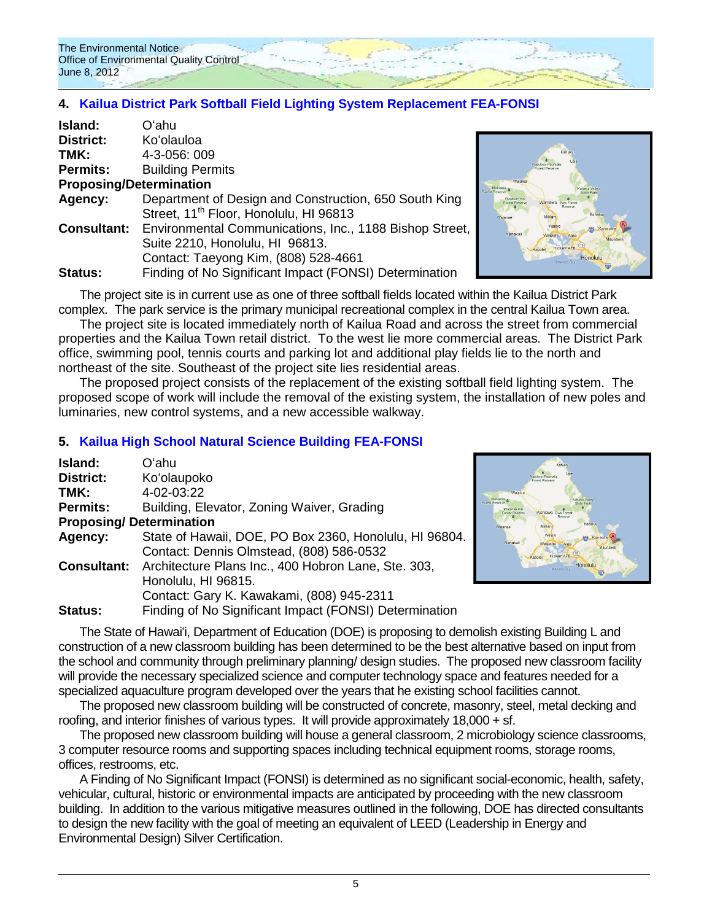

# **4. [Kailua District Park Softball Field Lighting System Replacement FEA-FONSI](http://oeqc.doh.hawaii.gov/Shared%20Documents/EA_and_EIS_Online_Library/Oahu/2010s/2012-06-08-FEA-Kailua-District-Park-Softball-Field-Lighting-System-Replacement.pdf)**

| Island:                        | Oʻahu                                                                      |
|--------------------------------|----------------------------------------------------------------------------|
| <b>District:</b>               | Ko'olauloa                                                                 |
| TMK:                           | 4-3-056: 009                                                               |
| <b>Permits:</b>                | <b>Building Permits</b>                                                    |
| <b>Proposing/Determination</b> |                                                                            |
| Agency:                        | Department of Design and Construction, 650 South King                      |
|                                | Street, 11 <sup>th</sup> Floor, Honolulu, HI 96813                         |
|                                | <b>Consultant:</b> Environmental Communications, Inc., 1188 Bishop Street, |
|                                | Suite 2210, Honolulu, HI 96813.                                            |
|                                | Contact: Taeyong Kim, (808) 528-4661                                       |
| Status:                        | Finding of No Significant Impact (FONSI) Determination                     |



The project site is in current use as one of three softball fields located within the Kailua District Park complex. The park service is the primary municipal recreational complex in the central Kailua Town area.

The project site is located immediately north of Kailua Road and across the street from commercial properties and the Kailua Town retail district. To the west lie more commercial areas. The District Park office, swimming pool, tennis courts and parking lot and additional play fields lie to the north and northeast of the site. Southeast of the project site lies residential areas.

The proposed project consists of the replacement of the existing softball field lighting system. The proposed scope of work will include the removal of the existing system, the installation of new poles and luminaries, new control systems, and a new accessible walkway.

## **5. [Kailua High School Natural Science Building FEA-FONSI](http://oeqc.doh.hawaii.gov/Shared%20Documents/EA_and_EIS_Online_Library/Oahu/2010s/2012-06-08-FEA-Kailua-High-School-Project.pdf)**

| Island:         | Oʻahu                                                                  |
|-----------------|------------------------------------------------------------------------|
| District:       | Ko'olaupoko                                                            |
| TMK:            | 4-02-03:22                                                             |
| <b>Permits:</b> | Building, Elevator, Zoning Waiver, Grading                             |
|                 | <b>Proposing/Determination</b>                                         |
| Agency:         | State of Hawaii, DOE, PO Box 2360, Honolulu, HI 96804.                 |
|                 | Contact: Dennis Olmstead, (808) 586-0532                               |
|                 | <b>Consultant:</b> Architecture Plans Inc., 400 Hobron Lane, Ste. 303, |
|                 | Honolulu, HI 96815.                                                    |
|                 | Contact: Gary K. Kawakami, (808) 945-2311                              |
| <b>Status:</b>  | Finding of No Significant Impact (FONSI) Determination                 |



The State of Hawaiʻi, Department of Education (DOE) is proposing to demolish existing Building L and construction of a new classroom building has been determined to be the best alternative based on input from the school and community through preliminary planning/ design studies. The proposed new classroom facility will provide the necessary specialized science and computer technology space and features needed for a specialized aquaculture program developed over the years that he existing school facilities cannot.

The proposed new classroom building will be constructed of concrete, masonry, steel, metal decking and roofing, and interior finishes of various types. It will provide approximately 18,000 + sf.

The proposed new classroom building will house a general classroom, 2 microbiology science classrooms, 3 computer resource rooms and supporting spaces including technical equipment rooms, storage rooms, offices, restrooms, etc.

A Finding of No Significant Impact (FONSI) is determined as no significant social-economic, health, safety, vehicular, cultural, historic or environmental impacts are anticipated by proceeding with the new classroom building. In addition to the various mitigative measures outlined in the following, DOE has directed consultants to design the new facility with the goal of meeting an equivalent of LEED (Leadership in Energy and Environmental Design) Silver Certification.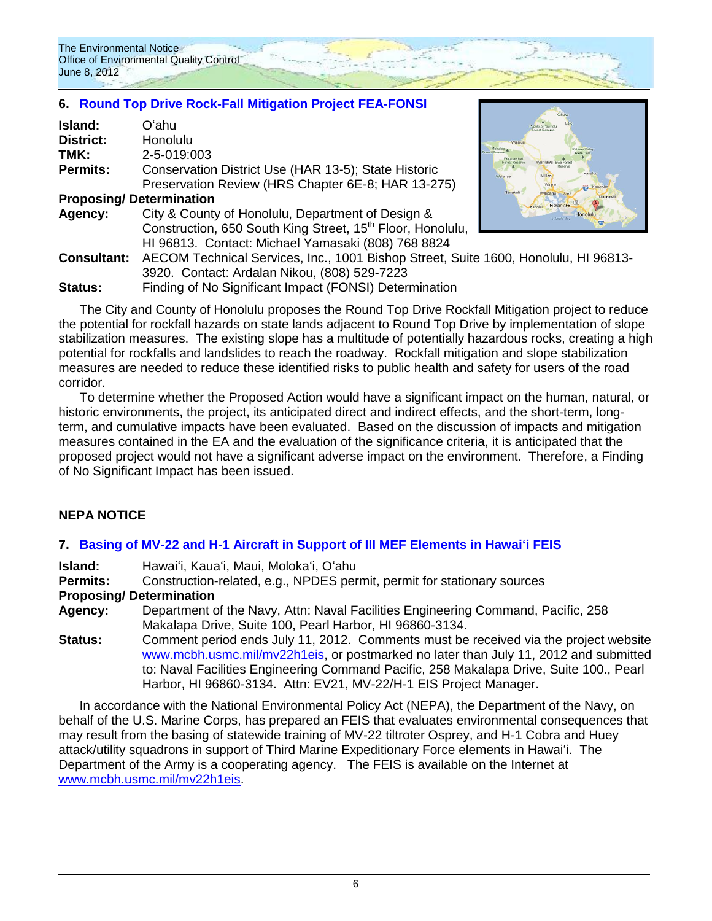# **6. [Round Top Drive Rock-Fall Mitigation Project](http://oeqc.doh.hawaii.gov/Shared%20Documents/EA_and_EIS_Online_Library/Oahu/2010s/2012-06-08-FEA-Round-Top-Drive-Rock-Fall-Mitigation-Project.pdf) FEA-FONSI**

| Island:                        | Oʻahu                                                                               | <b>LABLING</b><br>Forest Reserv              |
|--------------------------------|-------------------------------------------------------------------------------------|----------------------------------------------|
| <b>District:</b>               | Honolulu                                                                            |                                              |
| TMK:                           | 2-5-019:003                                                                         | <b>Inst Reservi</b><br>Wasanae Ki<br>Nahiawa |
| <b>Permits:</b>                | Conservation District Use (HAR 13-5); State Historic                                | Kahaluu<br>Mililar<br>Wajana                 |
|                                | Preservation Review (HRS Chapter 6E-8; HAR 13-275)                                  | <b>REL</b> Kaneor                            |
| <b>Proposing/Determination</b> |                                                                                     | Nanakuli<br>Hickam AFR                       |
| Agency:                        | City & County of Honolulu, Department of Design &                                   | Honolulu<br>Mamala Ray                       |
|                                | Construction, 650 South King Street, 15 <sup>th</sup> Floor, Honolulu,              |                                              |
|                                | HI 96813. Contact: Michael Yamasaki (808) 768 8824                                  |                                              |
| <b>Consultant:</b>             | AECOM Technical Services, Inc., 1001 Bishop Street, Suite 1600, Honolulu, HI 96813- |                                              |
|                                | 3920. Contact: Ardalan Nikou, (808) 529-7223                                        |                                              |
| <b>Status:</b>                 | Finding of No Significant Impact (FONSI) Determination                              |                                              |

The City and County of Honolulu proposes the Round Top Drive Rockfall Mitigation project to reduce the potential for rockfall hazards on state lands adjacent to Round Top Drive by implementation of slope stabilization measures. The existing slope has a multitude of potentially hazardous rocks, creating a high potential for rockfalls and landslides to reach the roadway. Rockfall mitigation and slope stabilization measures are needed to reduce these identified risks to public health and safety for users of the road corridor.

To determine whether the Proposed Action would have a significant impact on the human, natural, or historic environments, the project, its anticipated direct and indirect effects, and the short-term, longterm, and cumulative impacts have been evaluated. Based on the discussion of impacts and mitigation measures contained in the EA and the evaluation of the significance criteria, it is anticipated that the proposed project would not have a significant adverse impact on the environment. Therefore, a Finding of No Significant Impact has been issued.

# **NEPA NOTICE**

## **7. [Basing of MV-22 and H-1 Aircraft in Support of III MEF Elements in Hawaiʻi](http://www.mcbh.usmc.mil/mv22h1eis/) FEIS**

**Island:** Hawaiʻi, Kauaʻi, Maui, Molokaʻi, Oʻahu

**Permits:** Construction-related, e.g., NPDES permit, permit for stationary sources

## **Proposing/ Determination**

**Agency:** Department of the Navy, Attn: Naval Facilities Engineering Command, Pacific, 258 Makalapa Drive, Suite 100, Pearl Harbor, HI 96860-3134.

**Status:** Comment period ends July 11, 2012. Comments must be received via the project website [www.mcbh.usmc.mil/mv22h1eis,](http://www.mcbh.usmc.mil/mv22h1eis) or postmarked no later than July 11, 2012 and submitted to: Naval Facilities Engineering Command Pacific, 258 Makalapa Drive, Suite 100., Pearl Harbor, HI 96860-3134. Attn: EV21, MV-22/H-1 EIS Project Manager.

In accordance with the National Environmental Policy Act (NEPA), the Department of the Navy, on behalf of the U.S. Marine Corps, has prepared an FEIS that evaluates environmental consequences that may result from the basing of statewide training of MV-22 tiltroter Osprey, and H-1 Cobra and Huey attack/utility squadrons in support of Third Marine Expeditionary Force elements in Hawaiʻi. The Department of the Army is a cooperating agency. The FEIS is available on the Internet at [www.mcbh.usmc.mil/mv22h1eis.](http://www.mcbh.usmc.mil/mv22h1eis)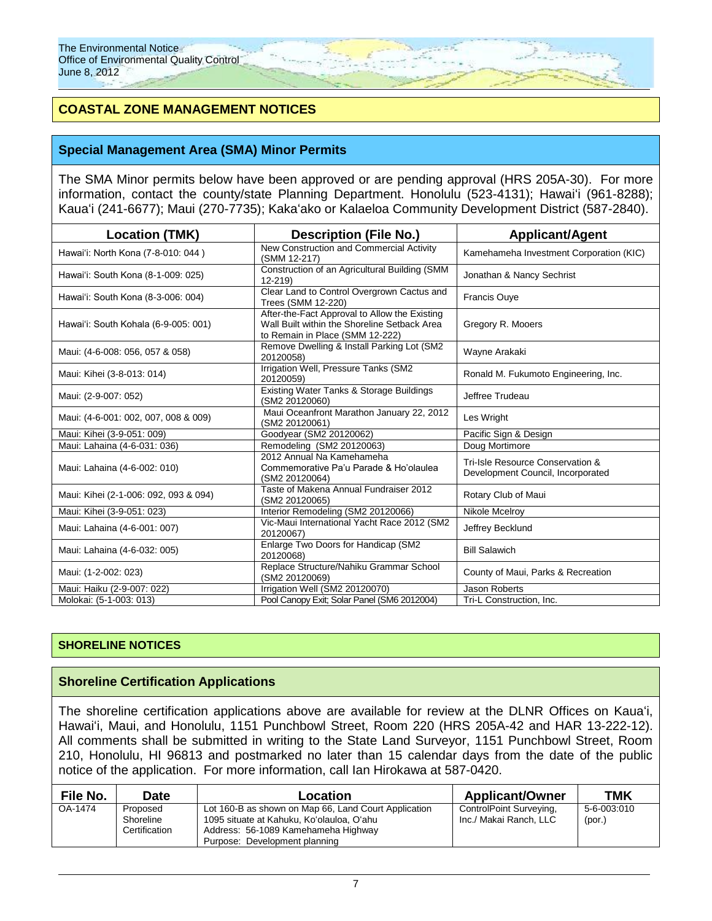# **COASTAL ZONE MANAGEMENT NOTICES**

## **Special Management Area (SMA) Minor Permits**

The SMA Minor permits below have been approved or are pending approval (HRS 205A-30). For more information, contact the county/state Planning Department. Honolulu (523-4131); Hawaiʻi (961-8288); Kauaʻi (241-6677); Maui (270-7735); Kakaʻako or Kalaeloa Community Development District (587-2840).

| <b>Location (TMK)</b>                 | <b>Description (File No.)</b>                                                                                                    | <b>Applicant/Agent</b>                                                |
|---------------------------------------|----------------------------------------------------------------------------------------------------------------------------------|-----------------------------------------------------------------------|
| Hawai'i: North Kona (7-8-010: 044)    | New Construction and Commercial Activity<br>(SMM 12-217)                                                                         | Kamehameha Investment Corporation (KIC)                               |
| Hawai'i: South Kona (8-1-009: 025)    | Construction of an Agricultural Building (SMM<br>$12 - 219$                                                                      | Jonathan & Nancy Sechrist                                             |
| Hawai'i: South Kona (8-3-006: 004)    | Clear Land to Control Overgrown Cactus and<br>Trees (SMM 12-220)                                                                 | <b>Francis Ouve</b>                                                   |
| Hawai'i: South Kohala (6-9-005: 001)  | After-the-Fact Approval to Allow the Existing<br>Wall Built within the Shoreline Setback Area<br>to Remain in Place (SMM 12-222) | Gregory R. Mooers                                                     |
| Maui: (4-6-008: 056, 057 & 058)       | Remove Dwelling & Install Parking Lot (SM2<br>20120058)                                                                          | Wayne Arakaki                                                         |
| Maui: Kihei (3-8-013: 014)            | Irrigation Well, Pressure Tanks (SM2<br>20120059)                                                                                | Ronald M. Fukumoto Engineering, Inc.                                  |
| Maui: (2-9-007: 052)                  | Existing Water Tanks & Storage Buildings<br>(SM2 20120060)                                                                       | Jeffree Trudeau                                                       |
| Maui: (4-6-001: 002, 007, 008 & 009)  | Maui Oceanfront Marathon January 22, 2012<br>(SM2 20120061)                                                                      | Les Wright                                                            |
| Maui: Kihei (3-9-051: 009)            | Goodyear (SM2 20120062)                                                                                                          | Pacific Sign & Design                                                 |
| Maui: Lahaina (4-6-031: 036)          | Remodeling (SM2 20120063)                                                                                                        | Doug Mortimore                                                        |
| Maui: Lahaina (4-6-002: 010)          | 2012 Annual Na Kamehameha<br>Commemorative Pa'u Parade & Ho'olaulea<br>(SM2 20120064)                                            | Tri-Isle Resource Conservation &<br>Development Council, Incorporated |
| Maui: Kihei (2-1-006: 092, 093 & 094) | Taste of Makena Annual Fundraiser 2012<br>(SM2 20120065)                                                                         | Rotary Club of Maui                                                   |
| Maui: Kihei (3-9-051: 023)            | Interior Remodeling (SM2 20120066)                                                                                               | Nikole Mcelroy                                                        |
| Maui: Lahaina (4-6-001: 007)          | Vic-Maui International Yacht Race 2012 (SM2<br>20120067)                                                                         | Jeffrey Becklund                                                      |
| Maui: Lahaina (4-6-032: 005)          | Enlarge Two Doors for Handicap (SM2<br>20120068)                                                                                 | <b>Bill Salawich</b>                                                  |
| Maui: (1-2-002: 023)                  | Replace Structure/Nahiku Grammar School<br>(SM2 20120069)                                                                        | County of Maui, Parks & Recreation                                    |
| Maui: Haiku (2-9-007: 022)            | Irrigation Well (SM2 20120070)                                                                                                   | Jason Roberts                                                         |
| Molokai: (5-1-003: 013)               | Pool Canopy Exit; Solar Panel (SM6 2012004)                                                                                      | Tri-L Construction, Inc.                                              |

## **SHORELINE NOTICES**

### **Shoreline Certification Applications**

The shoreline certification applications above are available for review at the DLNR Offices on Kauaʻi, Hawaiʻi, Maui, and Honolulu, 1151 Punchbowl Street, Room 220 (HRS 205A-42 and HAR 13-222-12). All comments shall be submitted in writing to the State Land Surveyor, 1151 Punchbowl Street, Room 210, Honolulu, HI 96813 and postmarked no later than 15 calendar days from the date of the public notice of the application. For more information, call Ian Hirokawa at 587-0420.

| File No. | Date                                   | Location                                                                                                                                                                  | <b>Applicant/Owner</b>                            | <b>TMK</b>            |
|----------|----------------------------------------|---------------------------------------------------------------------------------------------------------------------------------------------------------------------------|---------------------------------------------------|-----------------------|
| OA-1474  | Proposed<br>Shoreline<br>Certification | Lot 160-B as shown on Map 66, Land Court Application<br>1095 situate at Kahuku, Ko'olauloa, O'ahu<br>Address: 56-1089 Kamehameha Highway<br>Purpose: Development planning | ControlPoint Surveying,<br>Inc./ Makai Ranch. LLC | 5-6-003:010<br>(por.) |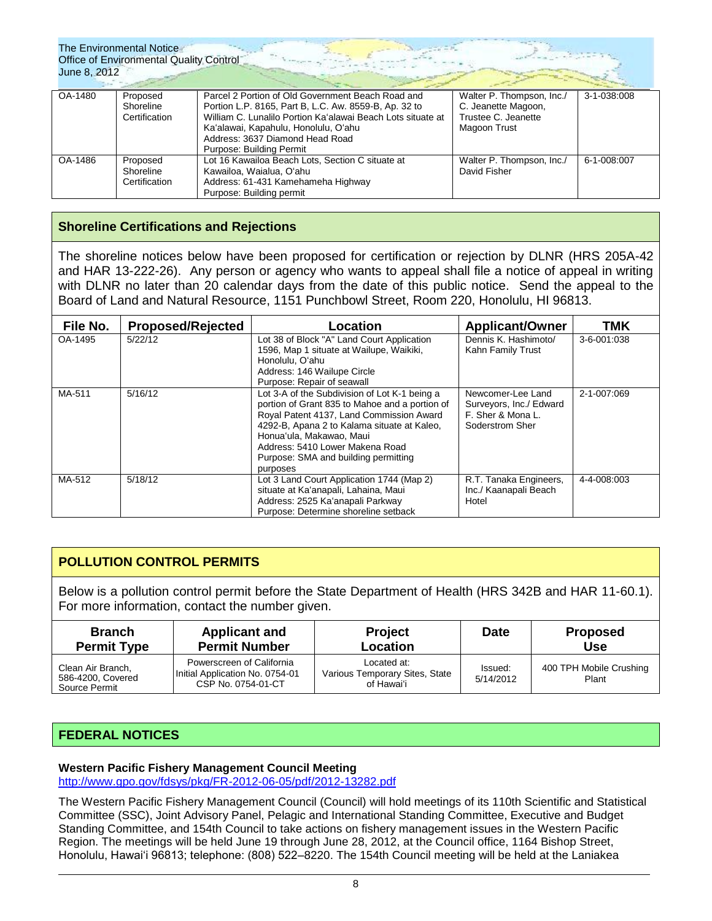The Environmental Notice Office of Environmental Quality Control June 8, 2012

| OA-1480 | Proposed      | Parcel 2 Portion of Old Government Beach Road and           | Walter P. Thompson, Inc./ | 3-1-038:008 |
|---------|---------------|-------------------------------------------------------------|---------------------------|-------------|
|         | Shoreline     | Portion L.P. 8165, Part B, L.C. Aw. 8559-B, Ap. 32 to       | C. Jeanette Magoon,       |             |
|         | Certification | William C. Lunalilo Portion Ka'alawai Beach Lots situate at | Trustee C. Jeanette       |             |
|         |               | Ka'alawai, Kapahulu, Honolulu, O'ahu                        | Magoon Trust              |             |
|         |               | Address: 3637 Diamond Head Road                             |                           |             |
|         |               | Purpose: Building Permit                                    |                           |             |
| OA-1486 | Proposed      | Lot 16 Kawailoa Beach Lots, Section C situate at            | Walter P. Thompson, Inc./ | 6-1-008:007 |
|         | Shoreline     | Kawailoa, Waialua, O'ahu                                    | David Fisher              |             |
|         | Certification | Address: 61-431 Kamehameha Highway                          |                           |             |
|         |               | Purpose: Building permit                                    |                           |             |

# **Shoreline Certifications and Rejections**

The shoreline notices below have been proposed for certification or rejection by DLNR (HRS 205A-42 and HAR 13-222-26). Any person or agency who wants to appeal shall file a notice of appeal in writing with DLNR no later than 20 calendar days from the date of this public notice. Send the appeal to the Board of Land and Natural Resource, 1151 Punchbowl Street, Room 220, Honolulu, HI 96813.

| File No. | <b>Proposed/Rejected</b> | Location                                                                                                                                                                                                                                                                                                      | <b>Applicant/Owner</b>                                                               | TMK         |
|----------|--------------------------|---------------------------------------------------------------------------------------------------------------------------------------------------------------------------------------------------------------------------------------------------------------------------------------------------------------|--------------------------------------------------------------------------------------|-------------|
| OA-1495  | 5/22/12                  | Lot 38 of Block "A" Land Court Application<br>1596, Map 1 situate at Wailupe, Waikiki,<br>Honolulu, O'ahu<br>Address: 146 Wailupe Circle<br>Purpose: Repair of seawall                                                                                                                                        | Dennis K. Hashimoto/<br>Kahn Family Trust                                            | 3-6-001:038 |
| MA-511   | 5/16/12                  | Lot 3-A of the Subdivision of Lot K-1 being a<br>portion of Grant 835 to Mahoe and a portion of<br>Royal Patent 4137, Land Commission Award<br>4292-B, Apana 2 to Kalama situate at Kaleo,<br>Honua'ula, Makawao, Maui<br>Address: 5410 Lower Makena Road<br>Purpose: SMA and building permitting<br>purposes | Newcomer-Lee Land<br>Surveyors, Inc./ Edward<br>F. Sher & Mona L.<br>Soderstrom Sher | 2-1-007:069 |
| MA-512   | 5/18/12                  | Lot 3 Land Court Application 1744 (Map 2)<br>situate at Ka'anapali, Lahaina, Maui<br>Address: 2525 Ka'anapali Parkway<br>Purpose: Determine shoreline setback                                                                                                                                                 | R.T. Tanaka Engineers,<br>Inc./ Kaanapali Beach<br>Hotel                             | 4-4-008:003 |

# **POLLUTION CONTROL PERMITS**

Below is a pollution control permit before the State Department of Health (HRS 342B and HAR 11-60.1). For more information, contact the number given.

| <b>Branch</b><br><b>Applicant and</b><br><b>Permit Number</b><br><b>Permit Type</b> |                                                                                    | <b>Project</b><br><b>Location</b>                           | <b>Date</b>          | <b>Proposed</b><br><b>Use</b>    |
|-------------------------------------------------------------------------------------|------------------------------------------------------------------------------------|-------------------------------------------------------------|----------------------|----------------------------------|
| Clean Air Branch,<br>586-4200, Covered<br>Source Permit                             | Powerscreen of California<br>Initial Application No. 0754-01<br>CSP No. 0754-01-CT | Located at:<br>Various Temporary Sites, State<br>of Hawai'i | Issued:<br>5/14/2012 | 400 TPH Mobile Crushing<br>Plant |

# **FEDERAL NOTICES**

### **Western Pacific Fishery Management Council Meeting**

<http://www.gpo.gov/fdsys/pkg/FR-2012-06-05/pdf/2012-13282.pdf>

The Western Pacific Fishery Management Council (Council) will hold meetings of its 110th Scientific and Statistical Committee (SSC), Joint Advisory Panel, Pelagic and International Standing Committee, Executive and Budget Standing Committee, and 154th Council to take actions on fishery management issues in the Western Pacific Region. The meetings will be held June 19 through June 28, 2012, at the Council office, 1164 Bishop Street, Honolulu, Hawai'i 96813; telephone: (808) 522–8220. The 154th Council meeting will be held at the Laniakea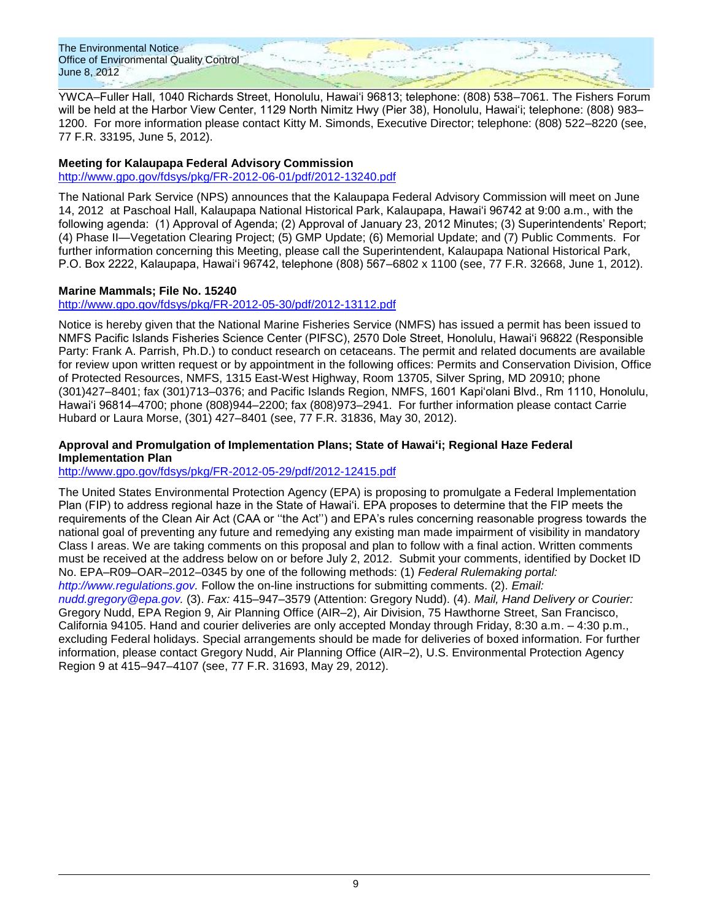The Environmental Notice Office of Environmental Quality Control June 8, 2012

YWCA–Fuller Hall, 1040 Richards Street, Honolulu, Hawai'i 96813; telephone: (808) 538–7061. The Fishers Forum will be held at the Harbor View Center, 1129 North Nimitz Hwy (Pier 38), Honolulu, Hawai'i; telephone: (808) 983– 1200. For more information please contact Kitty M. Simonds, Executive Director; telephone: (808) 522–8220 (see, 77 F.R. 33195, June 5, 2012).

## **Meeting for Kalaupapa Federal Advisory Commission**

<http://www.gpo.gov/fdsys/pkg/FR-2012-06-01/pdf/2012-13240.pdf>

The National Park Service (NPS) announces that the Kalaupapa Federal Advisory Commission will meet on June 14, 2012 at Paschoal Hall, Kalaupapa National Historical Park, Kalaupapa, Hawai'i 96742 at 9:00 a.m., with the following agenda: (1) Approval of Agenda; (2) Approval of January 23, 2012 Minutes; (3) Superintendents' Report; (4) Phase II—Vegetation Clearing Project; (5) GMP Update; (6) Memorial Update; and (7) Public Comments. For further information concerning this Meeting, please call the Superintendent, Kalaupapa National Historical Park, P.O. Box 2222, Kalaupapa, Hawai'i 96742, telephone (808) 567–6802 x 1100 (see, 77 F.R. 32668, June 1, 2012).

### **Marine Mammals; File No. 15240**

<http://www.gpo.gov/fdsys/pkg/FR-2012-05-30/pdf/2012-13112.pdf>

Notice is hereby given that the National Marine Fisheries Service (NMFS) has issued a permit has been issued to NMFS Pacific Islands Fisheries Science Center (PIFSC), 2570 Dole Street, Honolulu, Hawai'i 96822 (Responsible Party: Frank A. Parrish, Ph.D.) to conduct research on cetaceans. The permit and related documents are available for review upon written request or by appointment in the following offices: Permits and Conservation Division, Office of Protected Resources, NMFS, 1315 East-West Highway, Room 13705, Silver Spring, MD 20910; phone (301)427–8401; fax (301)713–0376; and Pacific Islands Region, NMFS, 1601 Kapi'olani Blvd., Rm 1110, Honolulu, Hawai'i 96814–4700; phone (808)944–2200; fax (808)973–2941. For further information please contact Carrie Hubard or Laura Morse, (301) 427–8401 (see, 77 F.R. 31836, May 30, 2012).

### **Approval and Promulgation of Implementation Plans; State of Hawaiʻi; Regional Haze Federal Implementation Plan**

<http://www.gpo.gov/fdsys/pkg/FR-2012-05-29/pdf/2012-12415.pdf>

The United States Environmental Protection Agency (EPA) is proposing to promulgate a Federal Implementation Plan (FIP) to address regional haze in the State of Hawai'i. EPA proposes to determine that the FIP meets the requirements of the Clean Air Act (CAA or ''the Act'') and EPA's rules concerning reasonable progress towards the national goal of preventing any future and remedying any existing man made impairment of visibility in mandatory Class I areas. We are taking comments on this proposal and plan to follow with a final action. Written comments must be received at the address below on or before July 2, 2012. Submit your comments, identified by Docket ID No. EPA–R09–OAR–2012–0345 by one of the following methods: (1) *Federal Rulemaking portal: [http://www.regulations.gov.](http://www.regulations.gov/)* Follow the on-line instructions for submitting comments. (2). *Email: [nudd.gregory@epa.gov.](mailto:nudd.gregory@epa.gov)* (3). *Fax:* 415–947–3579 (Attention: Gregory Nudd). (4). *Mail, Hand Delivery or Courier:*  Gregory Nudd, EPA Region 9, Air Planning Office (AIR–2), Air Division, 75 Hawthorne Street, San Francisco, California 94105. Hand and courier deliveries are only accepted Monday through Friday, 8:30 a.m. – 4:30 p.m., excluding Federal holidays. Special arrangements should be made for deliveries of boxed information. For further information, please contact Gregory Nudd, Air Planning Office (AIR–2), U.S. Environmental Protection Agency Region 9 at 415–947–4107 (see, 77 F.R. 31693, May 29, 2012).